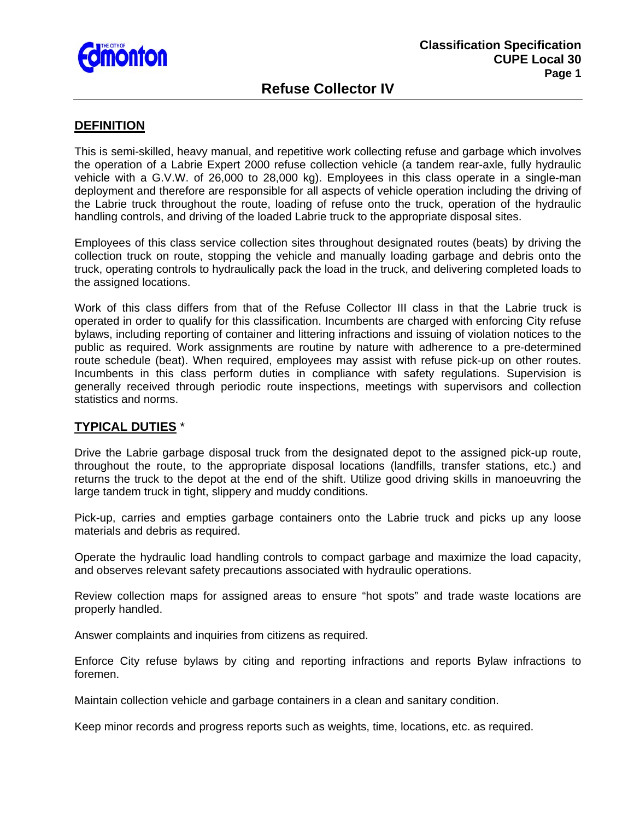

# **Refuse Collector IV**

#### **DEFINITION**

This is semi-skilled, heavy manual, and repetitive work collecting refuse and garbage which involves the operation of a Labrie Expert 2000 refuse collection vehicle (a tandem rear-axle, fully hydraulic vehicle with a G.V.W. of 26,000 to 28,000 kg). Employees in this class operate in a single-man deployment and therefore are responsible for all aspects of vehicle operation including the driving of the Labrie truck throughout the route, loading of refuse onto the truck, operation of the hydraulic handling controls, and driving of the loaded Labrie truck to the appropriate disposal sites.

Employees of this class service collection sites throughout designated routes (beats) by driving the collection truck on route, stopping the vehicle and manually loading garbage and debris onto the truck, operating controls to hydraulically pack the load in the truck, and delivering completed loads to the assigned locations.

Work of this class differs from that of the Refuse Collector III class in that the Labrie truck is operated in order to qualify for this classification. Incumbents are charged with enforcing City refuse bylaws, including reporting of container and littering infractions and issuing of violation notices to the public as required. Work assignments are routine by nature with adherence to a pre-determined route schedule (beat). When required, employees may assist with refuse pick-up on other routes. Incumbents in this class perform duties in compliance with safety regulations. Supervision is generally received through periodic route inspections, meetings with supervisors and collection statistics and norms.

#### **TYPICAL DUTIES** \*

Drive the Labrie garbage disposal truck from the designated depot to the assigned pick-up route, throughout the route, to the appropriate disposal locations (landfills, transfer stations, etc.) and returns the truck to the depot at the end of the shift. Utilize good driving skills in manoeuvring the large tandem truck in tight, slippery and muddy conditions.

Pick-up, carries and empties garbage containers onto the Labrie truck and picks up any loose materials and debris as required.

Operate the hydraulic load handling controls to compact garbage and maximize the load capacity, and observes relevant safety precautions associated with hydraulic operations.

Review collection maps for assigned areas to ensure "hot spots" and trade waste locations are properly handled.

Answer complaints and inquiries from citizens as required.

Enforce City refuse bylaws by citing and reporting infractions and reports Bylaw infractions to foremen.

Maintain collection vehicle and garbage containers in a clean and sanitary condition.

Keep minor records and progress reports such as weights, time, locations, etc. as required.